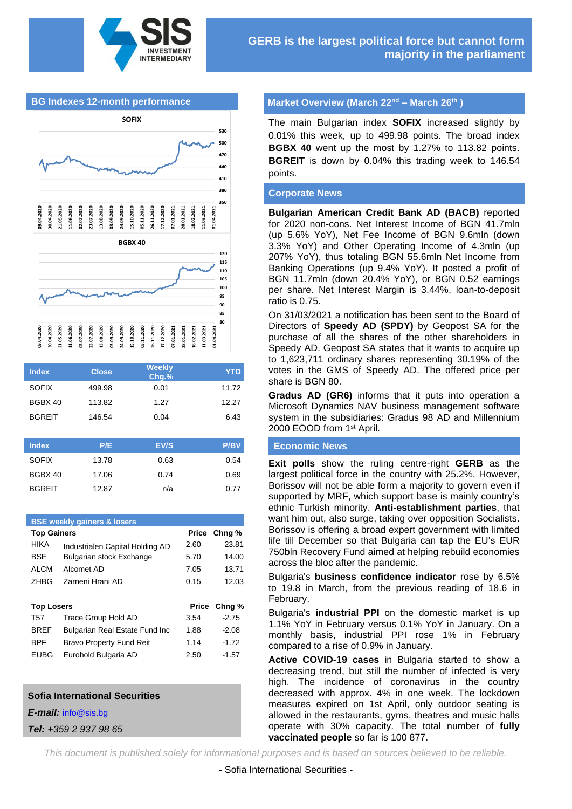

#### **BG Indexes 12-month performance**



| <b>Index</b>  | <b>Close</b> | Weekly<br>Chg.% | <b>YTD</b>  |
|---------------|--------------|-----------------|-------------|
| <b>SOFIX</b>  | 499.98       | 0.01            | 11.72       |
| BGBX 40       | 113.82       | 1.27            | 12.27       |
| <b>BGREIT</b> | 146.54       | 0.04            | 6.43        |
|               |              |                 |             |
| <b>Index</b>  | P/E          | EV/S            | <b>P/BV</b> |

| .     | EVO  | <b>FIDY</b> |
|-------|------|-------------|
| 13.78 | 0.63 | 0.54        |
| 17.06 | 0.74 | 0.69        |
| 12.87 | n/a  | 0.77        |
|       |      |             |

# **BSE weekly gainers & losers Top Gainers Price Chng %** HIKA Industrialen Capital Holding AD 2.60 23.81 BSE Bulgarian stock Exchange 5.70 14.00 ALCM Alcomet AD 7.05 13.71 ZHBG Zarneni Hrani AD 0.15 12.03 **Top Losers Price Chng %** T57 Trace Group Hold AD 3.54 -2.75 BREF Bulgarian Real Estate Fund Inc 1.88 -2.08 BPF Bravo Property Fund Reit 1.14 -1.72 EUBG Eurohold Bulgaria AD 2.50 -1.57

#### **Sofia International Securities**

*E-mail:* [info@sis.bg](mailto:info@sis.bg)

*Tel: +359 2 937 98 65*

#### **Market Overview (March 22<sup>nd</sup> – March 26<sup>th</sup>)**

The main Bulgarian index **SOFIX** increased slightly by 0.01% this week, up to 499.98 points. The broad index **BGBX 40** went up the most by 1.27% to 113.82 points. **BGREIT** is down by 0.04% this trading week to 146.54 points.

#### **Corporate News**

**Bulgarian American Credit Bank AD (BACB)** reported for 2020 non-cons. Net Interest Income of BGN 41.7mln (up 5.6% YoY), Net Fee Income of BGN 9.6mln (down 3.3% YoY) and Other Operating Income of 4.3mln (up 207% YoY), thus totaling BGN 55.6mln Net Income from Banking Operations (up 9.4% YoY). It posted a profit of BGN 11.7mln (down 20.4% YoY), or BGN 0.52 earnings per share. Net Interest Margin is 3.44%, loan-to-deposit ratio is 0.75.

On 31/03/2021 a notification has been sent to the Board of Directors of **Speedy AD (SPDY)** by Geopost SA for the purchase of all the shares of the other shareholders in Speedy AD. Geopost SA states that it wants to acquire up to 1,623,711 ordinary shares representing 30.19% of the votes in the GMS of Speedy AD. The offered price per share is BGN 80.

**Gradus AD (GR6)** informs that it puts into operation a Microsoft Dynamics NAV business management software system in the subsidiaries: Gradus 98 AD and Millennium 2000 EOOD from 1<sup>st</sup> April.

#### **Economic News**

**Exit polls** show the ruling centre-right **GERB** as the largest political force in the country with 25.2%. However, Borissov will not be able form a majority to govern even if supported by MRF, which support base is mainly country's ethnic Turkish minority. **Anti-establishment parties**, that want him out, also surge, taking over opposition Socialists. Borissov is offering a broad expert government with limited life till December so that Bulgaria can tap the EU's EUR 750bln Recovery Fund aimed at helping rebuild economies across the bloc after the pandemic.

Bulgaria's **business confidence indicator** rose by 6.5% to 19.8 in March, from the previous reading of 18.6 in February.

Bulgaria's **industrial PPI** on the domestic market is up 1.1% YoY in February versus 0.1% YoY in January. On a monthly basis, industrial PPI rose 1% in February compared to a rise of 0.9% in January.

**Active COVID-19 cases** in Bulgaria started to show a decreasing trend, but still the number of infected is very high. The incidence of coronavirus in the country decreased with approx. 4% in one week. The lockdown measures expired on 1st April, only outdoor seating is allowed in the restaurants, gyms, theatres and music halls operate with 30% capacity. The total number of **fully vaccinated people** so far is 100 877.

*This document is published solely for informational purposes and is based on sources believed to be reliable.*